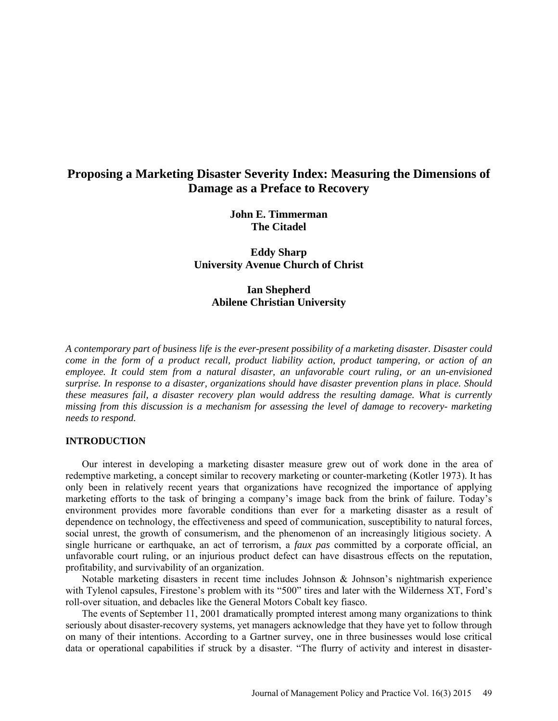# **Proposing a Marketing Disaster Severity Index: Measuring the Dimensions of Damage as a Preface to Recovery**

**John E. Timmerman The Citadel**

**Eddy Sharp University Avenue Church of Christ**

**Ian Shepherd Abilene Christian University**

*A contemporary part of business life is the ever-present possibility of a marketing disaster. Disaster could come in the form of a product recall, product liability action, product tampering, or action of an employee. It could stem from a natural disaster, an unfavorable court ruling, or an un-envisioned surprise. In response to a disaster, organizations should have disaster prevention plans in place. Should these measures fail, a disaster recovery plan would address the resulting damage. What is currently missing from this discussion is a mechanism for assessing the level of damage to recovery- marketing needs to respond.*

## **INTRODUCTION**

Our interest in developing a marketing disaster measure grew out of work done in the area of redemptive marketing, a concept similar to recovery marketing or counter-marketing (Kotler 1973). It has only been in relatively recent years that organizations have recognized the importance of applying marketing efforts to the task of bringing a company's image back from the brink of failure. Today's environment provides more favorable conditions than ever for a marketing disaster as a result of dependence on technology, the effectiveness and speed of communication, susceptibility to natural forces, social unrest, the growth of consumerism, and the phenomenon of an increasingly litigious society. A single hurricane or earthquake, an act of terrorism, a *faux pas* committed by a corporate official, an unfavorable court ruling, or an injurious product defect can have disastrous effects on the reputation, profitability, and survivability of an organization.

Notable marketing disasters in recent time includes Johnson  $\&$  Johnson's nightmarish experience with Tylenol capsules, Firestone's problem with its "500" tires and later with the Wilderness XT, Ford's roll-over situation, and debacles like the General Motors Cobalt key fiasco.

The events of September 11, 2001 dramatically prompted interest among many organizations to think seriously about disaster-recovery systems, yet managers acknowledge that they have yet to follow through on many of their intentions. According to a Gartner survey, one in three businesses would lose critical data or operational capabilities if struck by a disaster. "The flurry of activity and interest in disaster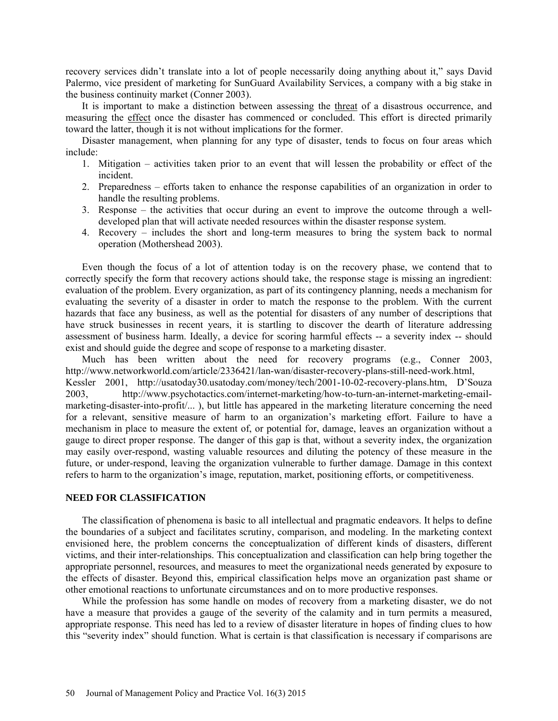recovery services didn't translate into a lot of people necessarily doing anything about it," says David Palermo, vice president of marketing for SunGuard Availability Services, a company with a big stake in the business continuity market (Conner 2003).

It is important to make a distinction between assessing the threat of a disastrous occurrence, and measuring the effect once the disaster has commenced or concluded. This effort is directed primarily toward the latter, though it is not without implications for the former.

Disaster management, when planning for any type of disaster, tends to focus on four areas which include:

- 1. Mitigation activities taken prior to an event that will lessen the probability or effect of the incident.
- 2. Preparedness efforts taken to enhance the response capabilities of an organization in order to handle the resulting problems.
- 3. Response the activities that occur during an event to improve the outcome through a welldeveloped plan that will activate needed resources within the disaster response system.
- 4. Recovery includes the short and long-term measures to bring the system back to normal operation (Mothershead 2003).

Even though the focus of a lot of attention today is on the recovery phase, we contend that to correctly specify the form that recovery actions should take, the response stage is missing an ingredient: evaluation of the problem. Every organization, as part of its contingency planning, needs a mechanism for evaluating the severity of a disaster in order to match the response to the problem. With the current hazards that face any business, as well as the potential for disasters of any number of descriptions that have struck businesses in recent years, it is startling to discover the dearth of literature addressing assessment of business harm. Ideally, a device for scoring harmful effects -- a severity index -- should exist and should guide the degree and scope of response to a marketing disaster.

Much has been written about the need for recovery programs (e.g., Conner 2003, [http://www.networkworld.com/article/2336421/lan-wan/disaster-recovery-plans-still-need-work.html,](http://www.networkworld.com/article/2336421/lan-wan/disaster-recovery-plans-still-need-work.html)  Kessler 2001, [http://usatoday30.usatoday.com/money/tech/2001-10-02-recovery-plans.htm,](http://usatoday30.usatoday.com/money/tech/2001-10-02-recovery-plans.htm) D'Souza 2003, [http://www.psychotactics.com/internet-marketing/how-to-turn-an-internet-marketing-email](http://www.psychotactics.com/internet-marketing/how-to-turn-an-internet-marketing-email-marketing-disaster-into-profit/)[marketing-disaster-into-profit/.](http://www.psychotactics.com/internet-marketing/how-to-turn-an-internet-marketing-email-marketing-disaster-into-profit/).. ), but little has appeared in the marketing literature concerning the need for a relevant, sensitive measure of harm to an organization's marketing effort. Failure to have a mechanism in place to measure the extent of, or potential for, damage, leaves an organization without a gauge to direct proper response. The danger of this gap is that, without a severity index, the organization may easily over-respond, wasting valuable resources and diluting the potency of these measure in the future, or under-respond, leaving the organization vulnerable to further damage. Damage in this context refers to harm to the organization's image, reputation, market, positioning efforts, or competitiveness.

### **NEED FOR CLASSIFICATION**

The classification of phenomena is basic to all intellectual and pragmatic endeavors. It helps to define the boundaries of a subject and facilitates scrutiny, comparison, and modeling. In the marketing context envisioned here, the problem concerns the conceptualization of different kinds of disasters, different victims, and their inter-relationships. This conceptualization and classification can help bring together the appropriate personnel, resources, and measures to meet the organizational needs generated by exposure to the effects of disaster. Beyond this, empirical classification helps move an organization past shame or other emotional reactions to unfortunate circumstances and on to more productive responses.

While the profession has some handle on modes of recovery from a marketing disaster, we do not have a measure that provides a gauge of the severity of the calamity and in turn permits a measured, appropriate response. This need has led to a review of disaster literature in hopes of finding clues to how this "severity index" should function. What is certain is that classification is necessary if comparisons are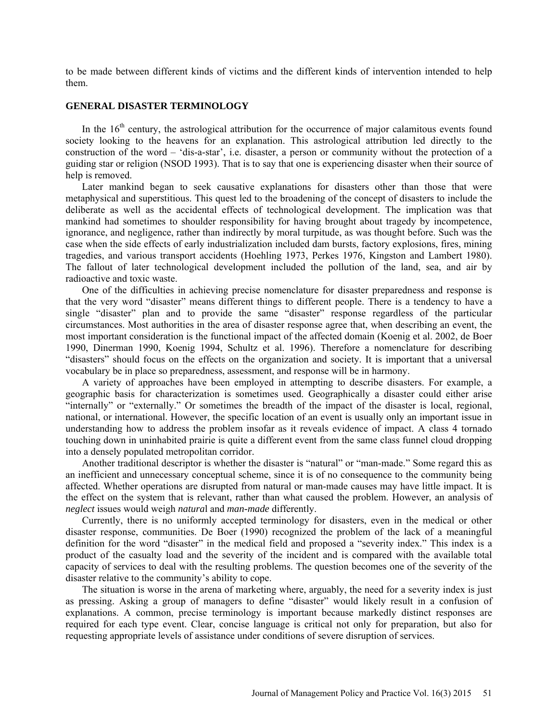to be made between different kinds of victims and the different kinds of intervention intended to help them.

### **GENERAL DISASTER TERMINOLOGY**

In the  $16<sup>th</sup>$  century, the astrological attribution for the occurrence of major calamitous events found society looking to the heavens for an explanation. This astrological attribution led directly to the construction of the word – 'dis-a-star', i.e. disaster, a person or community without the protection of a guiding star or religion (NSOD 1993). That is to say that one is experiencing disaster when their source of help is removed.

Later mankind began to seek causative explanations for disasters other than those that were metaphysical and superstitious. This quest led to the broadening of the concept of disasters to include the deliberate as well as the accidental effects of technological development. The implication was that mankind had sometimes to shoulder responsibility for having brought about tragedy by incompetence, ignorance, and negligence, rather than indirectly by moral turpitude, as was thought before. Such was the case when the side effects of early industrialization included dam bursts, factory explosions, fires, mining tragedies, and various transport accidents (Hoehling 1973, Perkes 1976, Kingston and Lambert 1980). The fallout of later technological development included the pollution of the land, sea, and air by radioactive and toxic waste.

One of the difficulties in achieving precise nomenclature for disaster preparedness and response is that the very word "disaster" means different things to different people. There is a tendency to have a single "disaster" plan and to provide the same "disaster" response regardless of the particular circumstances. Most authorities in the area of disaster response agree that, when describing an event, the most important consideration is the functional impact of the affected domain (Koenig et al. 2002, de Boer 1990, Dinerman 1990, Koenig 1994, Schultz et al. 1996). Therefore a nomenclature for describing "disasters" should focus on the effects on the organization and society. It is important that a universal vocabulary be in place so preparedness, assessment, and response will be in harmony.

A variety of approaches have been employed in attempting to describe disasters. For example, a geographic basis for characterization is sometimes used. Geographically a disaster could either arise "internally" or "externally." Or sometimes the breadth of the impact of the disaster is local, regional, national, or international. However, the specific location of an event is usually only an important issue in understanding how to address the problem insofar as it reveals evidence of impact. A class 4 tornado touching down in uninhabited prairie is quite a different event from the same class funnel cloud dropping into a densely populated metropolitan corridor.

Another traditional descriptor is whether the disaster is "natural" or "man-made." Some regard this as an inefficient and unnecessary conceptual scheme, since it is of no consequence to the community being affected. Whether operations are disrupted from natural or man-made causes may have little impact. It is the effect on the system that is relevant, rather than what caused the problem. However, an analysis of *neglect* issues would weigh *natura*l and *man-made* differently.

Currently, there is no uniformly accepted terminology for disasters, even in the medical or other disaster response, communities. De Boer (1990) recognized the problem of the lack of a meaningful definition for the word "disaster" in the medical field and proposed a "severity index." This index is a product of the casualty load and the severity of the incident and is compared with the available total capacity of services to deal with the resulting problems. The question becomes one of the severity of the disaster relative to the community's ability to cope.

The situation is worse in the arena of marketing where, arguably, the need for a severity index is just as pressing. Asking a group of managers to define "disaster" would likely result in a confusion of explanations. A common, precise terminology is important because markedly distinct responses are required for each type event. Clear, concise language is critical not only for preparation, but also for requesting appropriate levels of assistance under conditions of severe disruption of services.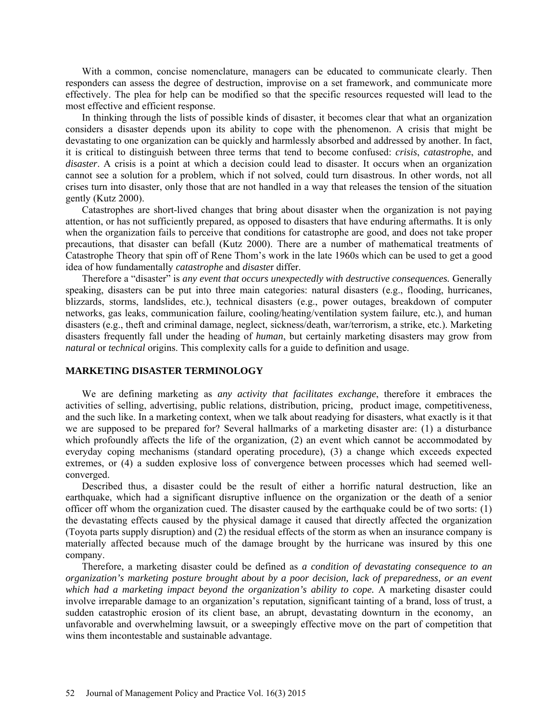With a common, concise nomenclature, managers can be educated to communicate clearly. Then responders can assess the degree of destruction, improvise on a set framework, and communicate more effectively. The plea for help can be modified so that the specific resources requested will lead to the most effective and efficient response.

In thinking through the lists of possible kinds of disaster, it becomes clear that what an organization considers a disaster depends upon its ability to cope with the phenomenon. A crisis that might be devastating to one organization can be quickly and harmlessly absorbed and addressed by another. In fact, it is critical to distinguish between three terms that tend to become confused: *crisis*, *catastroph*e, and *disaster*. A crisis is a point at which a decision could lead to disaster. It occurs when an organization cannot see a solution for a problem, which if not solved, could turn disastrous. In other words, not all crises turn into disaster, only those that are not handled in a way that releases the tension of the situation gently (Kutz 2000).

Catastrophes are short-lived changes that bring about disaster when the organization is not paying attention, or has not sufficiently prepared, as opposed to disasters that have enduring aftermaths. It is only when the organization fails to perceive that conditions for catastrophe are good, and does not take proper precautions, that disaster can befall (Kutz 2000). There are a number of mathematical treatments of Catastrophe Theory that spin off of Rene Thom's work in the late 1960s which can be used to get a good idea of how fundamentally *catastrophe* and *disaste*r differ.

Therefore a "disaster" is *any event that occurs unexpectedly with destructive consequences.* Generally speaking, disasters can be put into three main categories: natural disasters (e.g., flooding, hurricanes, blizzards, storms, landslides, etc.), technical disasters (e.g., power outages, breakdown of computer networks, gas leaks, communication failure, cooling/heating/ventilation system failure, etc.), and human disasters (e.g., theft and criminal damage, neglect, sickness/death, war/terrorism, a strike, etc.). Marketing disasters frequently fall under the heading of *human*, but certainly marketing disasters may grow from *natural* or *technical* origins. This complexity calls for a guide to definition and usage.

# **MARKETING DISASTER TERMINOLOGY**

We are defining marketing as *any activity that facilitates exchange*, therefore it embraces the activities of selling, advertising, public relations, distribution, pricing, product image, competitiveness, and the such like. In a marketing context, when we talk about readying for disasters, what exactly is it that we are supposed to be prepared for? Several hallmarks of a marketing disaster are: (1) a disturbance which profoundly affects the life of the organization, (2) an event which cannot be accommodated by everyday coping mechanisms (standard operating procedure), (3) a change which exceeds expected extremes, or (4) a sudden explosive loss of convergence between processes which had seemed wellconverged.

Described thus, a disaster could be the result of either a horrific natural destruction, like an earthquake, which had a significant disruptive influence on the organization or the death of a senior officer off whom the organization cued. The disaster caused by the earthquake could be of two sorts: (1) the devastating effects caused by the physical damage it caused that directly affected the organization (Toyota parts supply disruption) and (2) the residual effects of the storm as when an insurance company is materially affected because much of the damage brought by the hurricane was insured by this one company.

Therefore, a marketing disaster could be defined as *a condition of devastating consequence to an organization's marketing posture brought about by a poor decision, lack of preparedness, or an event*  which had a marketing impact beyond the organization's ability to cope. A marketing disaster could involve irreparable damage to an organization's reputation, significant tainting of a brand, loss of trust, a sudden catastrophic erosion of its client base, an abrupt, devastating downturn in the economy, an unfavorable and overwhelming lawsuit, or a sweepingly effective move on the part of competition that wins them incontestable and sustainable advantage.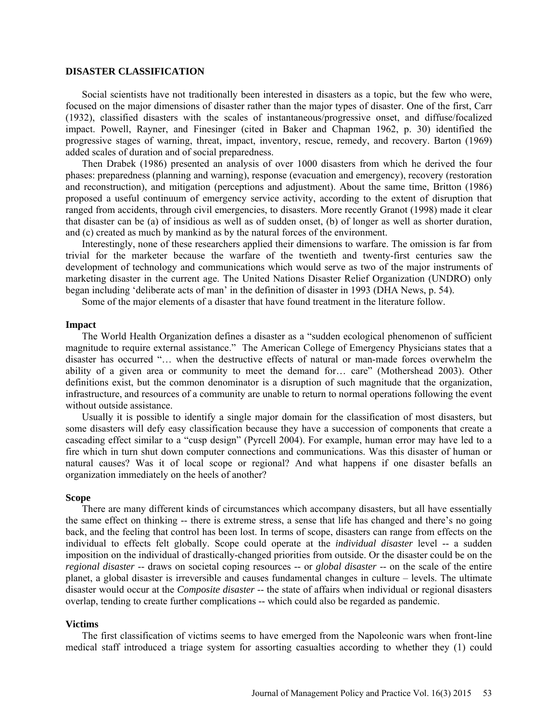### **DISASTER CLASSIFICATION**

Social scientists have not traditionally been interested in disasters as a topic, but the few who were, focused on the major dimensions of disaster rather than the major types of disaster. One of the first, Carr (1932), classified disasters with the scales of instantaneous/progressive onset, and diffuse/focalized impact. Powell, Rayner, and Finesinger (cited in Baker and Chapman 1962, p. 30) identified the progressive stages of warning, threat, impact, inventory, rescue, remedy, and recovery. Barton (1969) added scales of duration and of social preparedness.

Then Drabek (1986) presented an analysis of over 1000 disasters from which he derived the four phases: preparedness (planning and warning), response (evacuation and emergency), recovery (restoration and reconstruction), and mitigation (perceptions and adjustment). About the same time, Britton (1986) proposed a useful continuum of emergency service activity, according to the extent of disruption that ranged from accidents, through civil emergencies, to disasters. More recently Granot (1998) made it clear that disaster can be (a) of insidious as well as of sudden onset, (b) of longer as well as shorter duration, and (c) created as much by mankind as by the natural forces of the environment.

Interestingly, none of these researchers applied their dimensions to warfare. The omission is far from trivial for the marketer because the warfare of the twentieth and twenty-first centuries saw the development of technology and communications which would serve as two of the major instruments of marketing disaster in the current age. The United Nations Disaster Relief Organization (UNDRO) only began including 'deliberate acts of man' in the definition of disaster in 1993 (DHA News, p. 54).

Some of the major elements of a disaster that have found treatment in the literature follow.

#### **Impact**

The World Health Organization defines a disaster as a "sudden ecological phenomenon of sufficient magnitude to require external assistance." The American College of Emergency Physicians states that a disaster has occurred "… when the destructive effects of natural or man-made forces overwhelm the ability of a given area or community to meet the demand for… care" (Mothershead 2003). Other definitions exist, but the common denominator is a disruption of such magnitude that the organization, infrastructure, and resources of a community are unable to return to normal operations following the event without outside assistance.

Usually it is possible to identify a single major domain for the classification of most disasters, but some disasters will defy easy classification because they have a succession of components that create a cascading effect similar to a "cusp design" (Pyrcell 2004). For example, human error may have led to a fire which in turn shut down computer connections and communications. Was this disaster of human or natural causes? Was it of local scope or regional? And what happens if one disaster befalls an organization immediately on the heels of another?

#### **Scope**

There are many different kinds of circumstances which accompany disasters, but all have essentially the same effect on thinking -- there is extreme stress, a sense that life has changed and there's no going back, and the feeling that control has been lost. In terms of scope, disasters can range from effects on the individual to effects felt globally. Scope could operate at the *individual disaster* level -- a sudden imposition on the individual of drastically-changed priorities from outside. Or the disaster could be on the *regional disaster* -- draws on societal coping resources -- or *global disaster* -- on the scale of the entire planet, a global disaster is irreversible and causes fundamental changes in culture – levels. The ultimate disaster would occur at the *Composite disaster* -- the state of affairs when individual or regional disasters overlap, tending to create further complications -- which could also be regarded as pandemic.

#### **Victims**

The first classification of victims seems to have emerged from the Napoleonic wars when front-line medical staff introduced a triage system for assorting casualties according to whether they (1) could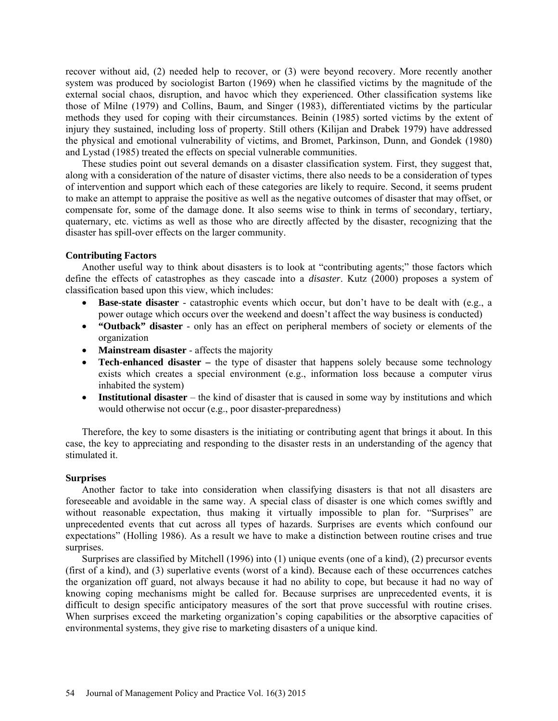recover without aid, (2) needed help to recover, or (3) were beyond recovery. More recently another system was produced by sociologist Barton (1969) when he classified victims by the magnitude of the external social chaos, disruption, and havoc which they experienced. Other classification systems like those of Milne (1979) and Collins, Baum, and Singer (1983), differentiated victims by the particular methods they used for coping with their circumstances. Beinin (1985) sorted victims by the extent of injury they sustained, including loss of property. Still others (Kilijan and Drabek 1979) have addressed the physical and emotional vulnerability of victims, and Bromet, Parkinson, Dunn, and Gondek (1980) and Lystad (1985) treated the effects on special vulnerable communities.

These studies point out several demands on a disaster classification system. First, they suggest that, along with a consideration of the nature of disaster victims, there also needs to be a consideration of types of intervention and support which each of these categories are likely to require. Second, it seems prudent to make an attempt to appraise the positive as well as the negative outcomes of disaster that may offset, or compensate for, some of the damage done. It also seems wise to think in terms of secondary, tertiary, quaternary, etc. victims as well as those who are directly affected by the disaster, recognizing that the disaster has spill-over effects on the larger community.

### **Contributing Factors**

Another useful way to think about disasters is to look at "contributing agents;" those factors which define the effects of catastrophes as they cascade into a *disaster*. Kutz (2000) proposes a system of classification based upon this view, which includes:

- **Base-state disaster** catastrophic events which occur, but don't have to be dealt with (e.g., a power outage which occurs over the weekend and doesn't affect the way business is conducted)
- **"Outback" disaster** only has an effect on peripheral members of society or elements of the organization
- **Mainstream disaster** affects the majority
- **Tech-enhanced disaster** the type of disaster that happens solely because some technology exists which creates a special environment (e.g., information loss because a computer virus inhabited the system)
- **Institutional disaster** the kind of disaster that is caused in some way by institutions and which would otherwise not occur (e.g., poor disaster-preparedness)

Therefore, the key to some disasters is the initiating or contributing agent that brings it about. In this case, the key to appreciating and responding to the disaster rests in an understanding of the agency that stimulated it.

### **Surprises**

Another factor to take into consideration when classifying disasters is that not all disasters are foreseeable and avoidable in the same way. A special class of disaster is one which comes swiftly and without reasonable expectation, thus making it virtually impossible to plan for. "Surprises" are unprecedented events that cut across all types of hazards. Surprises are events which confound our expectations" (Holling 1986). As a result we have to make a distinction between routine crises and true surprises.

Surprises are classified by Mitchell (1996) into (1) unique events (one of a kind), (2) precursor events (first of a kind), and (3) superlative events (worst of a kind). Because each of these occurrences catches the organization off guard, not always because it had no ability to cope, but because it had no way of knowing coping mechanisms might be called for. Because surprises are unprecedented events, it is difficult to design specific anticipatory measures of the sort that prove successful with routine crises. When surprises exceed the marketing organization's coping capabilities or the absorptive capacities of environmental systems, they give rise to marketing disasters of a unique kind.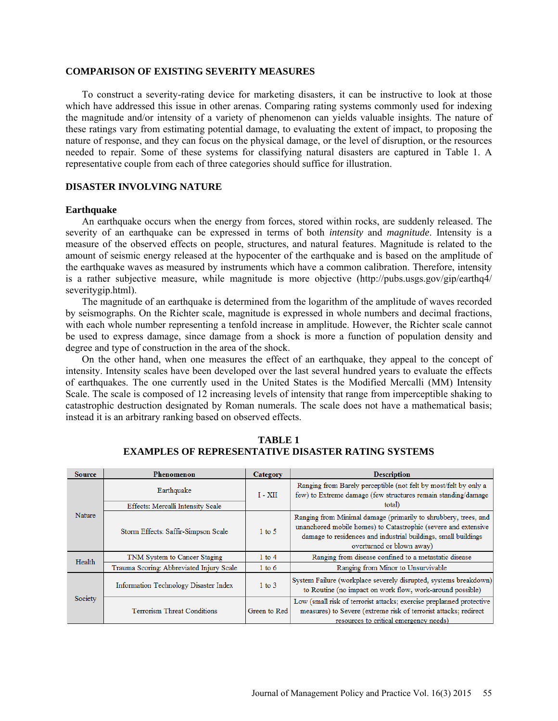#### **COMPARISON OF EXISTING SEVERITY MEASURES**

To construct a severity-rating device for marketing disasters, it can be instructive to look at those which have addressed this issue in other arenas. Comparing rating systems commonly used for indexing the magnitude and/or intensity of a variety of phenomenon can yields valuable insights. The nature of these ratings vary from estimating potential damage, to evaluating the extent of impact, to proposing the nature of response, and they can focus on the physical damage, or the level of disruption, or the resources needed to repair. Some of these systems for classifying natural disasters are captured in Table 1. A representative couple from each of three categories should suffice for illustration.

# **DISASTER INVOLVING NATURE**

#### **Earthquake**

An earthquake occurs when the energy from forces, stored within rocks, are suddenly released. The severity of an earthquake can be expressed in terms of both *intensity* and *magnitude*. Intensity is a measure of the observed effects on people, structures, and natural features. Magnitude is related to the amount of seismic energy released at the hypocenter of the earthquake and is based on the amplitude of the earthquake waves as measured by instruments which have a common calibration. Therefore, intensity is a rather subjective measure, while magnitude is more objective [\(http://pubs.usgs.gov/gip/earthq4/](http://pubs.usgs.gov/gip/earthq4/%20severitygip.html)  [severitygip.html\)](http://pubs.usgs.gov/gip/earthq4/%20severitygip.html).

The magnitude of an earthquake is determined from the logarithm of the amplitude of waves recorded by seismographs. On the Richter scale, magnitude is expressed in whole numbers and decimal fractions, with each whole number representing a tenfold increase in amplitude. However, the Richter scale cannot be used to express damage, since damage from a shock is more a function of population density and degree and type of construction in the area of the shock.

On the other hand, when one measures the effect of an earthquake, they appeal to the concept of intensity. Intensity scales have been developed over the last several hundred years to evaluate the effects of earthquakes. The one currently used in the United States is the Modified Mercalli (MM) Intensity Scale. The scale is composed of 12 increasing levels of intensity that range from imperceptible shaking to catastrophic destruction designated by Roman numerals. The scale does not have a mathematical basis; instead it is an arbitrary ranking based on observed effects.

| <b>Source</b> | Phenomenon                               | Category     | <b>Description</b>                                                                                                                                                                                                               |  |
|---------------|------------------------------------------|--------------|----------------------------------------------------------------------------------------------------------------------------------------------------------------------------------------------------------------------------------|--|
|               | Earthquake                               | $I - XII$    | Ranging from Barely perceptible (not felt by most/felt by only a<br>few) to Extreme damage (few structures remain standing/damage<br>total)                                                                                      |  |
|               | Effects: Mercalli Intensity Scale        |              |                                                                                                                                                                                                                                  |  |
| <b>Nature</b> | Storm Effects: Saffir-Simpson Scale      | $1$ to 5     | Ranging from Minimal damage (primarily to shrubbery, trees, and<br>unanchored mobile homes) to Catastrophic (severe and extensive<br>damage to residences and industrial buildings, small buildings<br>overturned or blown away) |  |
| Health        | TNM System to Cancer Staging             | $1$ to $4$   | Ranging from disease confined to a metastatic disease                                                                                                                                                                            |  |
|               | Trauma Scoring: Abbreviated Injury Scale | $1$ to $6$   | Ranging from Minor to Unsurvivable                                                                                                                                                                                               |  |
| Society       | Information Technology Disaster Index    | $1$ to $3$   | System Failure (workplace severely disrupted, systems breakdown)<br>to Routine (no impact on work flow, work-around possible)                                                                                                    |  |
|               | <b>Terrorism Threat Conditions</b>       | Green to Red | Low (small risk of terrorist attacks; exercise preplanned protective<br>measures) to Severe (extreme risk of terrorist attacks; redirect<br>resources to critical emergency needs)                                               |  |

**TABLE 1 EXAMPLES OF REPRESENTATIVE DISASTER RATING SYSTEMS**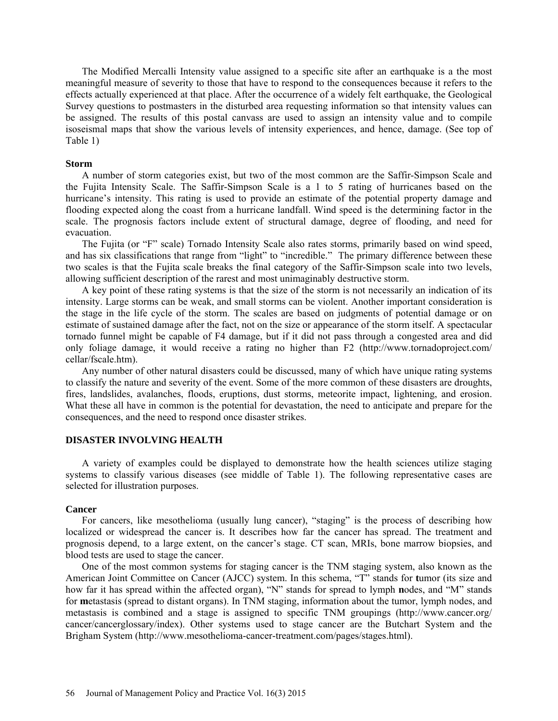The Modified Mercalli Intensity value assigned to a specific site after an earthquake is a the most meaningful measure of severity to those that have to respond to the consequences because it refers to the effects actually experienced at that place. After the occurrence of a widely felt earthquake, the Geological Survey questions to postmasters in the disturbed area requesting information so that intensity values can be assigned. The results of this postal canvass are used to assign an intensity value and to compile isoseismal maps that show the various levels of intensity experiences, and hence, damage. (See top of Table 1)

#### **Storm**

A number of storm categories exist, but two of the most common are the Saffir-Simpson Scale and the Fujita Intensity Scale. The Saffir-Simpson Scale is a 1 to 5 rating of hurricanes based on the hurricane's intensity. This rating is used to provide an estimate of the potential property damage and flooding expected along the coast from a hurricane landfall. Wind speed is the determining factor in the scale. The prognosis factors include extent of structural damage, degree of flooding, and need for evacuation.

The Fujita (or "F" scale) Tornado Intensity Scale also rates storms, primarily based on wind speed, and has six classifications that range from "light" to "incredible." The primary difference between these two scales is that the Fujita scale breaks the final category of the Saffir-Simpson scale into two levels, allowing sufficient description of the rarest and most unimaginably destructive storm.

A key point of these rating systems is that the size of the storm is not necessarily an indication of its intensity. Large storms can be weak, and small storms can be violent. Another important consideration is the stage in the life cycle of the storm. The scales are based on judgments of potential damage or on estimate of sustained damage after the fact, not on the size or appearance of the storm itself. A spectacular tornado funnel might be capable of F4 damage, but if it did not pass through a congested area and did only foliage damage, it would receive a rating no higher than F2 [\(http://www.tornadoproject.com/](http://www.tornadoproject.com/%20cellar/fscale.htm)  [cellar/fscale.htm\)](http://www.tornadoproject.com/%20cellar/fscale.htm).

Any number of other natural disasters could be discussed, many of which have unique rating systems to classify the nature and severity of the event. Some of the more common of these disasters are droughts, fires, landslides, avalanches, floods, eruptions, dust storms, meteorite impact, lightening, and erosion. What these all have in common is the potential for devastation, the need to anticipate and prepare for the consequences, and the need to respond once disaster strikes.

### **DISASTER INVOLVING HEALTH**

A variety of examples could be displayed to demonstrate how the health sciences utilize staging systems to classify various diseases (see middle of Table 1). The following representative cases are selected for illustration purposes.

### **Cancer**

For cancers, like mesothelioma (usually lung cancer), "staging" is the process of describing how localized or widespread the cancer is. It describes how far the cancer has spread. The treatment and prognosis depend, to a large extent, on the cancer's stage. CT scan, MRIs, bone marrow biopsies, and blood tests are used to stage the cancer.

One of the most common systems for staging cancer is the TNM staging system, also known as the American Joint Committee on Cancer (AJCC) system. In this schema, "T" stands for **t**umor (its size and how far it has spread within the affected organ), "N" stands for spread to lymph **n**odes, and "M" stands for **m**etastasis (spread to distant organs). In TNM staging, information about the tumor, lymph nodes, and metastasis is combined and a stage is assigned to specific TNM groupings [\(http://www.cancer.org/](http://www.cancer.org/%20cancer/cancerglossary/index)  [cancer/cancerglossary/index\)](http://www.cancer.org/%20cancer/cancerglossary/index). Other systems used to stage cancer are the Butchart System and the Brigham System [\(http://www.mesothelioma-cancer-treatment.com/pages/stages.html\)](http://www.mesothelioma-cancer-treatment.com/pages/stages.html).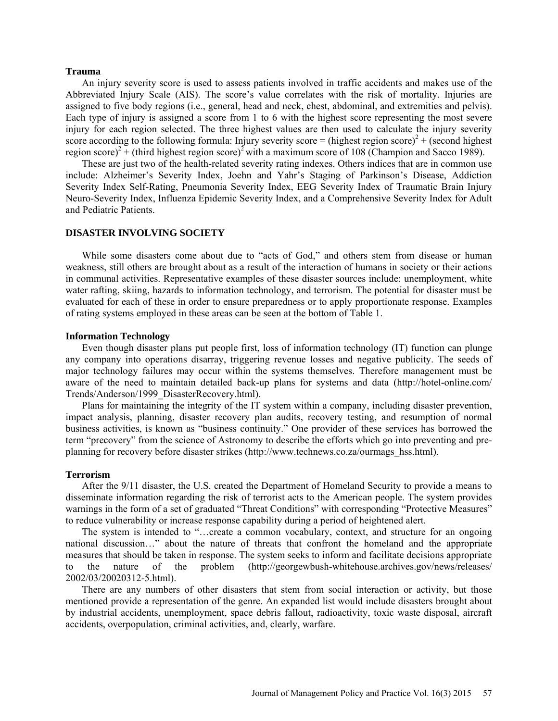#### **Trauma**

An injury severity score is used to assess patients involved in traffic accidents and makes use of the Abbreviated Injury Scale (AIS). The score's value correlates with the risk of mortality. Injuries are assigned to five body regions (i.e., general, head and neck, chest, abdominal, and extremities and pelvis). Each type of injury is assigned a score from 1 to 6 with the highest score representing the most severe injury for each region selected. The three highest values are then used to calculate the injury severity score according to the following formula: Injury severity score = (highest region score)<sup>2</sup> + (second highest region score)<sup>2</sup> + (third highest region score)<sup>2</sup> with a maximum score of 108 (Champion and Sacco 1989).

These are just two of the health-related severity rating indexes. Others indices that are in common use include: Alzheimer's Severity Index, Joehn and Yahr's Staging of Parkinson's Disease, Addiction Severity Index Self-Rating, Pneumonia Severity Index, EEG Severity Index of Traumatic Brain Injury Neuro-Severity Index, Influenza Epidemic Severity Index, and a Comprehensive Severity Index for Adult and Pediatric Patients.

### **DISASTER INVOLVING SOCIETY**

While some disasters come about due to "acts of God," and others stem from disease or human weakness, still others are brought about as a result of the interaction of humans in society or their actions in communal activities. Representative examples of these disaster sources include: unemployment, white water rafting, skiing, hazards to information technology, and terrorism. The potential for disaster must be evaluated for each of these in order to ensure preparedness or to apply proportionate response. Examples of rating systems employed in these areas can be seen at the bottom of Table 1.

### **Information Technology**

Even though disaster plans put people first, loss of information technology (IT) function can plunge any company into operations disarray, triggering revenue losses and negative publicity. The seeds of major technology failures may occur within the systems themselves. Therefore management must be aware of the need to maintain detailed back-up plans for systems and data [\(http://hotel-online.com/](http://hotel-online.com/Trends/Anderson/1999_DisasterRecovery.html)  [Trends/Anderson/1999\\_DisasterRecovery.html\)](http://hotel-online.com/Trends/Anderson/1999_DisasterRecovery.html).

Plans for maintaining the integrity of the IT system within a company, including disaster prevention, impact analysis, planning, disaster recovery plan audits, recovery testing, and resumption of normal business activities, is known as "business continuity." One provider of these services has borrowed the term "precovery" from the science of Astronomy to describe the efforts which go into preventing and preplanning for recovery before disaster strikes [\(http://www.technews.co.za/ourmags\\_hss.html\)](http://www.technews.co.za/ourmags_hss.html).

### **Terrorism**

After the 9/11 disaster, the U.S. created the Department of Homeland Security to provide a means to disseminate information regarding the risk of terrorist acts to the American people. The system provides warnings in the form of a set of graduated "Threat Conditions" with corresponding "Protective Measures" to reduce vulnerability or increase response capability during a period of heightened alert.

The system is intended to "…create a common vocabulary, context, and structure for an ongoing national discussion…" about the nature of threats that confront the homeland and the appropriate measures that should be taken in response. The system seeks to inform and facilitate decisions appropriate to the nature of the problem [\(http://georgewbush-whitehouse.archives.gov/news/releases/](http://georgewbush-whitehouse.archives.gov/news/releases/%202002/03/20020312-5.html)  [2002/03/20020312-5.html\)](http://georgewbush-whitehouse.archives.gov/news/releases/%202002/03/20020312-5.html).

There are any numbers of other disasters that stem from social interaction or activity, but those mentioned provide a representation of the genre. An expanded list would include disasters brought about by industrial accidents, unemployment, space debris fallout, radioactivity, toxic waste disposal, aircraft accidents, overpopulation, criminal activities, and, clearly, warfare.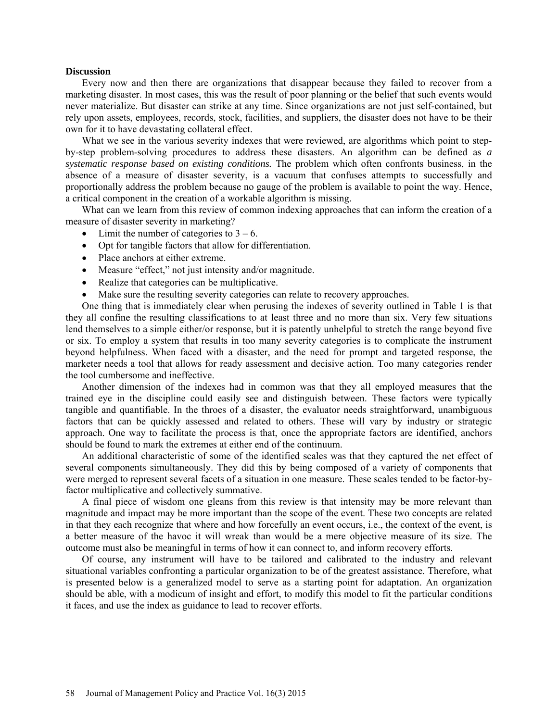#### **Discussion**

Every now and then there are organizations that disappear because they failed to recover from a marketing disaster. In most cases, this was the result of poor planning or the belief that such events would never materialize. But disaster can strike at any time. Since organizations are not just self-contained, but rely upon assets, employees, records, stock, facilities, and suppliers, the disaster does not have to be their own for it to have devastating collateral effect.

What we see in the various severity indexes that were reviewed, are algorithms which point to stepby-step problem-solving procedures to address these disasters. An algorithm can be defined as *a systematic response based on existing conditions.* The problem which often confronts business, in the absence of a measure of disaster severity, is a vacuum that confuses attempts to successfully and proportionally address the problem because no gauge of the problem is available to point the way. Hence, a critical component in the creation of a workable algorithm is missing.

What can we learn from this review of common indexing approaches that can inform the creation of a measure of disaster severity in marketing?

- Limit the number of categories to  $3 6$ .
- Opt for tangible factors that allow for differentiation.
- Place anchors at either extreme.
- Measure "effect," not just intensity and/or magnitude.
- Realize that categories can be multiplicative.
- Make sure the resulting severity categories can relate to recovery approaches.

One thing that is immediately clear when perusing the indexes of severity outlined in Table 1 is that they all confine the resulting classifications to at least three and no more than six. Very few situations lend themselves to a simple either/or response, but it is patently unhelpful to stretch the range beyond five or six. To employ a system that results in too many severity categories is to complicate the instrument beyond helpfulness. When faced with a disaster, and the need for prompt and targeted response, the marketer needs a tool that allows for ready assessment and decisive action. Too many categories render the tool cumbersome and ineffective.

Another dimension of the indexes had in common was that they all employed measures that the trained eye in the discipline could easily see and distinguish between. These factors were typically tangible and quantifiable. In the throes of a disaster, the evaluator needs straightforward, unambiguous factors that can be quickly assessed and related to others. These will vary by industry or strategic approach. One way to facilitate the process is that, once the appropriate factors are identified, anchors should be found to mark the extremes at either end of the continuum.

An additional characteristic of some of the identified scales was that they captured the net effect of several components simultaneously. They did this by being composed of a variety of components that were merged to represent several facets of a situation in one measure. These scales tended to be factor-byfactor multiplicative and collectively summative.

A final piece of wisdom one gleans from this review is that intensity may be more relevant than magnitude and impact may be more important than the scope of the event. These two concepts are related in that they each recognize that where and how forcefully an event occurs, i.e., the context of the event, is a better measure of the havoc it will wreak than would be a mere objective measure of its size. The outcome must also be meaningful in terms of how it can connect to, and inform recovery efforts.

Of course, any instrument will have to be tailored and calibrated to the industry and relevant situational variables confronting a particular organization to be of the greatest assistance. Therefore, what is presented below is a generalized model to serve as a starting point for adaptation. An organization should be able, with a modicum of insight and effort, to modify this model to fit the particular conditions it faces, and use the index as guidance to lead to recover efforts.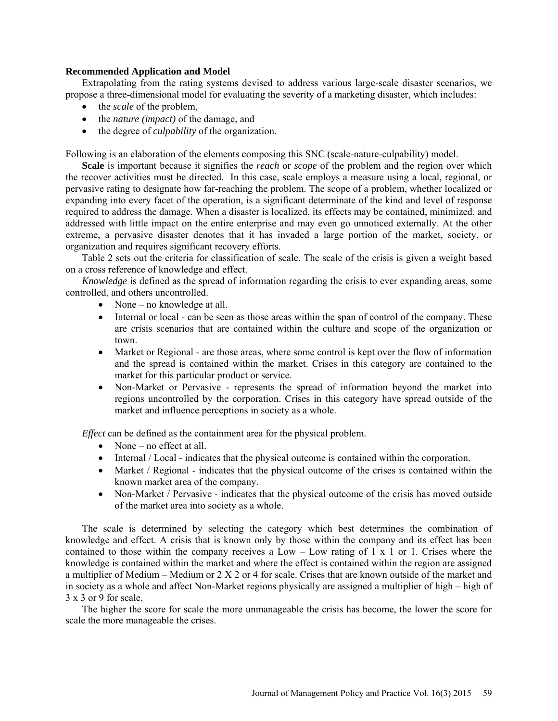# **Recommended Application and Model**

Extrapolating from the rating systems devised to address various large-scale disaster scenarios, we propose a three-dimensional model for evaluating the severity of a marketing disaster, which includes:

- the *scale* of the problem,
- the *nature (impact)* of the damage, and
- the degree of *culpability* of the organization.

Following is an elaboration of the elements composing this SNC (scale-nature-culpability) model.

**Scale** is important because it signifies the *reach* or *scope* of the problem and the region over which the recover activities must be directed. In this case, scale employs a measure using a local, regional, or pervasive rating to designate how far-reaching the problem. The scope of a problem, whether localized or expanding into every facet of the operation, is a significant determinate of the kind and level of response required to address the damage. When a disaster is localized, its effects may be contained, minimized, and addressed with little impact on the entire enterprise and may even go unnoticed externally. At the other extreme, a pervasive disaster denotes that it has invaded a large portion of the market, society, or organization and requires significant recovery efforts.

Table 2 sets out the criteria for classification of scale. The scale of the crisis is given a weight based on a cross reference of knowledge and effect.

*Knowledge* is defined as the spread of information regarding the crisis to ever expanding areas, some controlled, and others uncontrolled.

- None no knowledge at all.
- Internal or local can be seen as those areas within the span of control of the company. These are crisis scenarios that are contained within the culture and scope of the organization or town.
- Market or Regional are those areas, where some control is kept over the flow of information and the spread is contained within the market. Crises in this category are contained to the market for this particular product or service.
- Non-Market or Pervasive represents the spread of information beyond the market into regions uncontrolled by the corporation. Crises in this category have spread outside of the market and influence perceptions in society as a whole.

*Effect* can be defined as the containment area for the physical problem.

- None no effect at all.
- Internal / Local indicates that the physical outcome is contained within the corporation.
- Market / Regional indicates that the physical outcome of the crises is contained within the known market area of the company.
- Non-Market / Pervasive indicates that the physical outcome of the crisis has moved outside of the market area into society as a whole.

The scale is determined by selecting the category which best determines the combination of knowledge and effect. A crisis that is known only by those within the company and its effect has been contained to those within the company receives a Low – Low rating of 1 x 1 or 1. Crises where the knowledge is contained within the market and where the effect is contained within the region are assigned a multiplier of Medium – Medium or 2 X 2 or 4 for scale. Crises that are known outside of the market and in society as a whole and affect Non-Market regions physically are assigned a multiplier of high – high of 3 x 3 or 9 for scale.

The higher the score for scale the more unmanageable the crisis has become, the lower the score for scale the more manageable the crises.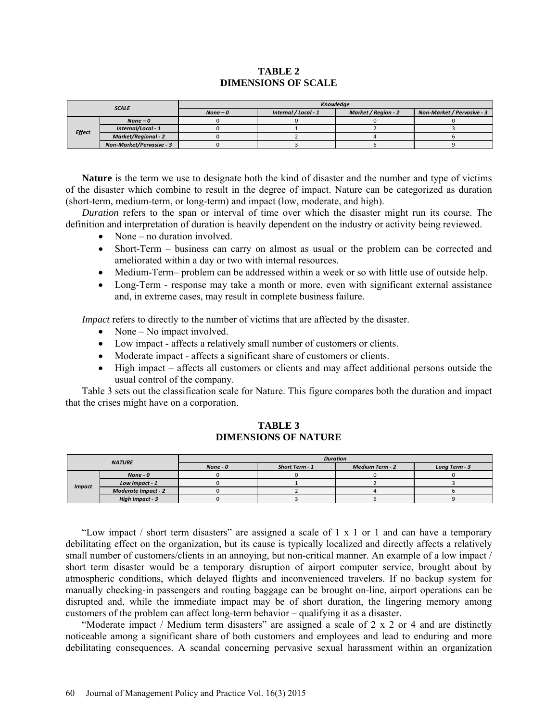# **TABLE 2 DIMENSIONS OF SCALE**

| <b>SCALE</b>  |                            | <b>Knowledae</b> |                      |                     |                            |
|---------------|----------------------------|------------------|----------------------|---------------------|----------------------------|
|               |                            | $None - 0$       | Internal / Local - 1 | Market / Region - 2 | Non-Market / Pervasive - 3 |
| <b>Effect</b> | $None - 0$                 |                  |                      |                     |                            |
|               | Internal/Local - 1         |                  |                      |                     |                            |
|               | <b>Market/Regional - 2</b> |                  |                      |                     |                            |
|               | Non-Market/Pervasive - 3   |                  |                      |                     |                            |

**Nature** is the term we use to designate both the kind of disaster and the number and type of victims of the disaster which combine to result in the degree of impact. Nature can be categorized as duration (short-term, medium-term, or long-term) and impact (low, moderate, and high).

*Duration* refers to the span or interval of time over which the disaster might run its course. The definition and interpretation of duration is heavily dependent on the industry or activity being reviewed.

- None no duration involved.
- Short-Term business can carry on almost as usual or the problem can be corrected and ameliorated within a day or two with internal resources.
- Medium-Term– problem can be addressed within a week or so with little use of outside help.
- Long-Term response may take a month or more, even with significant external assistance and, in extreme cases, may result in complete business failure.

*Impact* refers to directly to the number of victims that are affected by the disaster.

- None No impact involved.
- Low impact affects a relatively small number of customers or clients.
- Moderate impact affects a significant share of customers or clients.
- High impact affects all customers or clients and may affect additional persons outside the usual control of the company.

Table 3 sets out the classification scale for Nature. This figure compares both the duration and impact that the crises might have on a corporation.

# **TABLE 3 DIMENSIONS OF NATURE**

| <b>NATURE</b> |                            | <b>Duration</b> |                |                 |               |
|---------------|----------------------------|-----------------|----------------|-----------------|---------------|
|               |                            | $None - 0$      | Short Term - 1 | Medium Term - 2 | Long Term - 3 |
| <b>Impact</b> | $None - 0$                 |                 |                |                 |               |
|               | Low Impact - 1             |                 |                |                 |               |
|               | <b>Moderate Impact - 2</b> |                 |                |                 |               |
|               | High Impact - 3            |                 |                |                 |               |

"Low impact / short term disasters" are assigned a scale of  $1 \times 1$  or 1 and can have a temporary debilitating effect on the organization, but its cause is typically localized and directly affects a relatively small number of customers/clients in an annoying, but non-critical manner. An example of a low impact / short term disaster would be a temporary disruption of airport computer service, brought about by atmospheric conditions, which delayed flights and inconvenienced travelers. If no backup system for manually checking-in passengers and routing baggage can be brought on-line, airport operations can be disrupted and, while the immediate impact may be of short duration, the lingering memory among customers of the problem can affect long-term behavior – qualifying it as a disaster.

"Moderate impact / Medium term disasters" are assigned a scale of 2 x 2 or 4 and are distinctly noticeable among a significant share of both customers and employees and lead to enduring and more debilitating consequences. A scandal concerning pervasive sexual harassment within an organization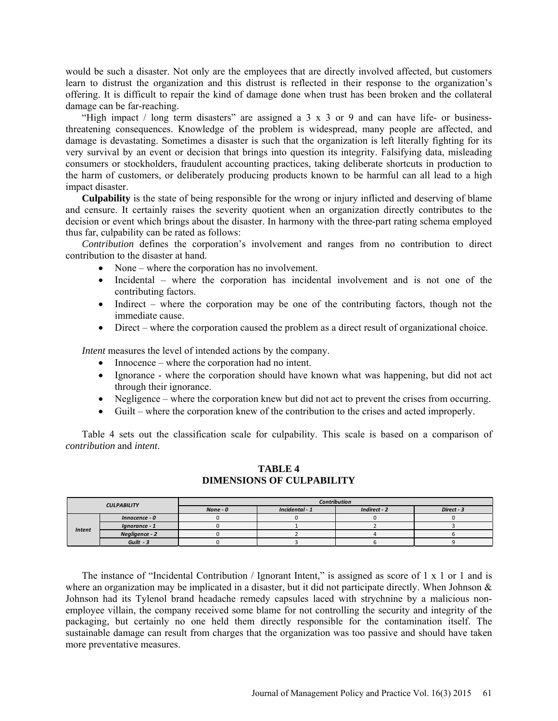would be such a disaster. Not only are the employees that are directly involved affected, but customers learn to distrust the organization and this distrust is reflected in their response to the organization's offering. It is difficult to repair the kind of damage done when trust has been broken and the collateral damage can be far-reaching.

"High impact / long term disasters" are assigned a 3 x 3 or 9 and can have life- or businessthreatening consequences. Knowledge of the problem is widespread, many people are affected, and damage is devastating. Sometimes a disaster is such that the organization is left literally fighting for its very survival by an event or decision that brings into question its integrity. Falsifying data, misleading consumers or stockholders, fraudulent accounting practices, taking deliberate shortcuts in production to the harm of customers, or deliberately producing products known to be harmful can all lead to a high impact disaster.

**Culpability** is the state of being responsible for the wrong or injury inflicted and deserving of blame and censure. It certainly raises the severity quotient when an organization directly contributes to the decision or event which brings about the disaster. In harmony with the three-part rating schema employed thus far, culpability can be rated as follows:

*Contribution* defines the corporation's involvement and ranges from no contribution to direct contribution to the disaster at hand.

- None where the corporation has no involvement.
- Incidental where the corporation has incidental involvement and is not one of the contributing factors.
- Indirect where the corporation may be one of the contributing factors, though not the immediate cause.
- Direct where the corporation caused the problem as a direct result of organizational choice.

*Intent* measures the level of intended actions by the company.

- Innocence where the corporation had no intent.
- Ignorance where the corporation should have known what was happening, but did not act through their ignorance.
- Negligence where the corporation knew but did not act to prevent the crises from occurring.
- Guilt where the corporation knew of the contribution to the crises and acted improperly.

Table 4 sets out the classification scale for culpability. This scale is based on a comparison of *contribution* and *intent*.

# **TABLE 4 DIMENSIONS OF CULPABILITY**

| <b>CULPABILITY</b> |                | <b>Contribution</b> |                |              |            |
|--------------------|----------------|---------------------|----------------|--------------|------------|
|                    |                | $None - 0$          | Incidental - 1 | Indirect - 2 | Direct - 3 |
|                    | Innocence - 0  |                     |                |              |            |
| <b>Intent</b>      | Ignorance - 1  |                     |                |              |            |
|                    | Negligence - 2 |                     |                |              |            |
|                    | $Gu$ ilt - 3   |                     |                |              |            |

The instance of "Incidental Contribution / Ignorant Intent," is assigned as score of 1 x 1 or 1 and is where an organization may be implicated in a disaster, but it did not participate directly. When Johnson & Johnson had its Tylenol brand headache remedy capsules laced with strychnine by a malicious nonemployee villain, the company received some blame for not controlling the security and integrity of the packaging, but certainly no one held them directly responsible for the contamination itself. The sustainable damage can result from charges that the organization was too passive and should have taken more preventative measures.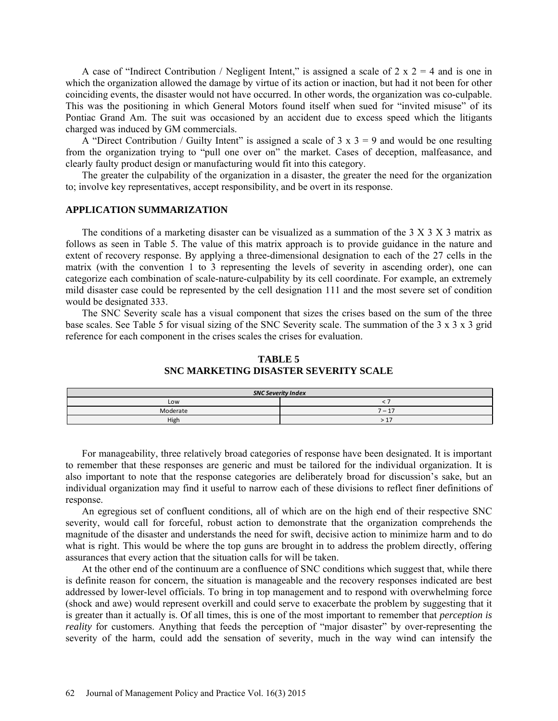A case of "Indirect Contribution / Negligent Intent," is assigned a scale of  $2 \times 2 = 4$  and is one in which the organization allowed the damage by virtue of its action or inaction, but had it not been for other coinciding events, the disaster would not have occurred. In other words, the organization was co-culpable. This was the positioning in which General Motors found itself when sued for "invited misuse" of its Pontiac Grand Am. The suit was occasioned by an accident due to excess speed which the litigants charged was induced by GM commercials.

A "Direct Contribution / Guilty Intent" is assigned a scale of  $3 \times 3 = 9$  and would be one resulting from the organization trying to "pull one over on" the market. Cases of deception, malfeasance, and clearly faulty product design or manufacturing would fit into this category.

The greater the culpability of the organization in a disaster, the greater the need for the organization to; involve key representatives, accept responsibility, and be overt in its response.

# **APPLICATION SUMMARIZATION**

The conditions of a marketing disaster can be visualized as a summation of the 3 X 3 X 3 matrix as follows as seen in Table 5. The value of this matrix approach is to provide guidance in the nature and extent of recovery response. By applying a three-dimensional designation to each of the 27 cells in the matrix (with the convention 1 to 3 representing the levels of severity in ascending order), one can categorize each combination of scale-nature-culpability by its cell coordinate. For example, an extremely mild disaster case could be represented by the cell designation 111 and the most severe set of condition would be designated 333.

The SNC Severity scale has a visual component that sizes the crises based on the sum of the three base scales. See Table 5 for visual sizing of the SNC Severity scale. The summation of the 3 x 3 x 3 grid reference for each component in the crises scales the crises for evaluation.

# **TABLE 5 SNC MARKETING DISASTER SEVERITY SCALE**

| <b>SNC Severity Index</b> |          |  |
|---------------------------|----------|--|
| Low                       |          |  |
| Moderate                  | $7 - 17$ |  |
| High                      | >17      |  |

For manageability, three relatively broad categories of response have been designated. It is important to remember that these responses are generic and must be tailored for the individual organization. It is also important to note that the response categories are deliberately broad for discussion's sake, but an individual organization may find it useful to narrow each of these divisions to reflect finer definitions of response.

An egregious set of confluent conditions, all of which are on the high end of their respective SNC severity, would call for forceful, robust action to demonstrate that the organization comprehends the magnitude of the disaster and understands the need for swift, decisive action to minimize harm and to do what is right. This would be where the top guns are brought in to address the problem directly, offering assurances that every action that the situation calls for will be taken.

At the other end of the continuum are a confluence of SNC conditions which suggest that, while there is definite reason for concern, the situation is manageable and the recovery responses indicated are best addressed by lower-level officials. To bring in top management and to respond with overwhelming force (shock and awe) would represent overkill and could serve to exacerbate the problem by suggesting that it is greater than it actually is. Of all times, this is one of the most important to remember that *perception is reality* for customers. Anything that feeds the perception of "major disaster" by over-representing the severity of the harm, could add the sensation of severity, much in the way wind can intensify the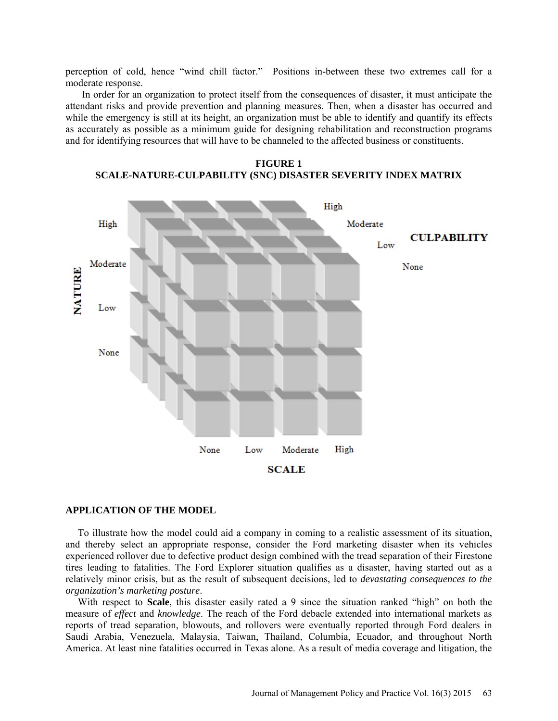perception of cold, hence "wind chill factor." Positions in-between these two extremes call for a moderate response.

In order for an organization to protect itself from the consequences of disaster, it must anticipate the attendant risks and provide prevention and planning measures. Then, when a disaster has occurred and while the emergency is still at its height, an organization must be able to identify and quantify its effects as accurately as possible as a minimum guide for designing rehabilitation and reconstruction programs and for identifying resources that will have to be channeled to the affected business or constituents.



**FIGURE 1 SCALE-NATURE-CULPABILITY (SNC) DISASTER SEVERITY INDEX MATRIX**

# **APPLICATION OF THE MODEL**

To illustrate how the model could aid a company in coming to a realistic assessment of its situation, and thereby select an appropriate response, consider the Ford marketing disaster when its vehicles experienced rollover due to defective product design combined with the tread separation of their Firestone tires leading to fatalities. The Ford Explorer situation qualifies as a disaster, having started out as a relatively minor crisis, but as the result of subsequent decisions, led to *devastating consequences to the organization's marketing posture*.

With respect to **Scale**, this disaster easily rated a 9 since the situation ranked "high" on both the measure of *effect* and *knowledge*. The reach of the Ford debacle extended into international markets as reports of tread separation, blowouts, and rollovers were eventually reported through Ford dealers in Saudi Arabia, Venezuela, Malaysia, Taiwan, Thailand, Columbia, Ecuador, and throughout North America. At least nine fatalities occurred in Texas alone. As a result of media coverage and litigation, the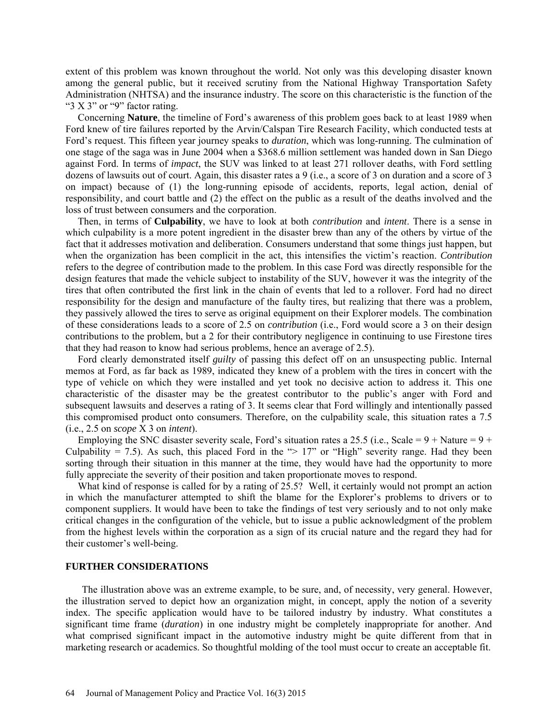extent of this problem was known throughout the world. Not only was this developing disaster known among the general public, but it received scrutiny from the National Highway Transportation Safety Administration (NHTSA) and the insurance industry. The score on this characteristic is the function of the " $3 X 3$ " or " $9$ " factor rating.

Concerning **Nature**, the timeline of Ford's awareness of this problem goes back to at least 1989 when Ford knew of tire failures reported by the Arvin/Calspan Tire Research Facility, which conducted tests at Ford's request. This fifteen year journey speaks to *duration*, which was long-running. The culmination of one stage of the saga was in June 2004 when a \$368.6 million settlement was handed down in San Diego against Ford. In terms of *impact*, the SUV was linked to at least 271 rollover deaths, with Ford settling dozens of lawsuits out of court. Again, this disaster rates a 9 (i.e., a score of 3 on duration and a score of 3 on impact) because of (1) the long-running episode of accidents, reports, legal action, denial of responsibility, and court battle and (2) the effect on the public as a result of the deaths involved and the loss of trust between consumers and the corporation.

Then, in terms of **Culpability**, we have to look at both *contribution* and *intent*. There is a sense in which culpability is a more potent ingredient in the disaster brew than any of the others by virtue of the fact that it addresses motivation and deliberation. Consumers understand that some things just happen, but when the organization has been complicit in the act, this intensifies the victim's reaction. *Contribution* refers to the degree of contribution made to the problem. In this case Ford was directly responsible for the design features that made the vehicle subject to instability of the SUV, however it was the integrity of the tires that often contributed the first link in the chain of events that led to a rollover. Ford had no direct responsibility for the design and manufacture of the faulty tires, but realizing that there was a problem, they passively allowed the tires to serve as original equipment on their Explorer models. The combination of these considerations leads to a score of 2.5 on *contribution* (i.e., Ford would score a 3 on their design contributions to the problem, but a 2 for their contributory negligence in continuing to use Firestone tires that they had reason to know had serious problems, hence an average of 2.5).

Ford clearly demonstrated itself *guilty* of passing this defect off on an unsuspecting public. Internal memos at Ford, as far back as 1989, indicated they knew of a problem with the tires in concert with the type of vehicle on which they were installed and yet took no decisive action to address it. This one characteristic of the disaster may be the greatest contributor to the public's anger with Ford and subsequent lawsuits and deserves a rating of 3. It seems clear that Ford willingly and intentionally passed this compromised product onto consumers. Therefore, on the culpability scale, this situation rates a 7.5 (i.e., 2.5 on *scope* X 3 on *intent*).

Employing the SNC disaster severity scale, Ford's situation rates a 25.5 (i.e., Scale =  $9 +$  Nature =  $9 +$ Culpability = 7.5). As such, this placed Ford in the " $> 17$ " or "High" severity range. Had they been sorting through their situation in this manner at the time, they would have had the opportunity to more fully appreciate the severity of their position and taken proportionate moves to respond.

What kind of response is called for by a rating of 25.5? Well, it certainly would not prompt an action in which the manufacturer attempted to shift the blame for the Explorer's problems to drivers or to component suppliers. It would have been to take the findings of test very seriously and to not only make critical changes in the configuration of the vehicle, but to issue a public acknowledgment of the problem from the highest levels within the corporation as a sign of its crucial nature and the regard they had for their customer's well-being.

#### **FURTHER CONSIDERATIONS**

The illustration above was an extreme example, to be sure, and, of necessity, very general. However, the illustration served to depict how an organization might, in concept, apply the notion of a severity index. The specific application would have to be tailored industry by industry. What constitutes a significant time frame (*duration*) in one industry might be completely inappropriate for another. And what comprised significant impact in the automotive industry might be quite different from that in marketing research or academics. So thoughtful molding of the tool must occur to create an acceptable fit.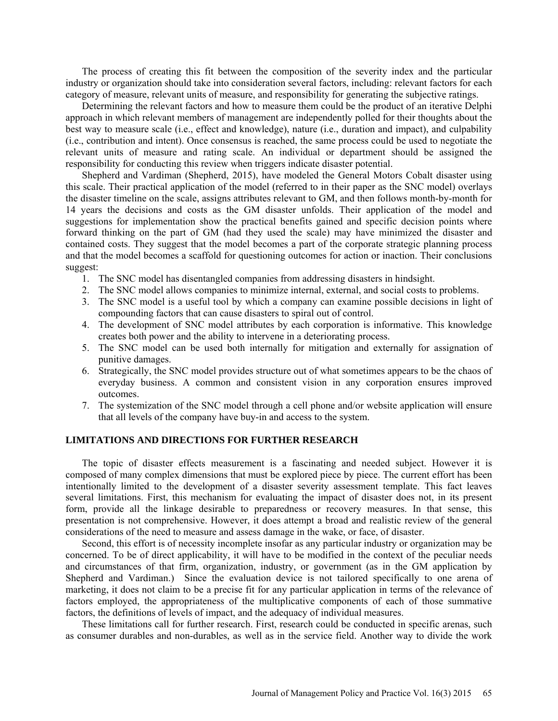The process of creating this fit between the composition of the severity index and the particular industry or organization should take into consideration several factors, including: relevant factors for each category of measure, relevant units of measure, and responsibility for generating the subjective ratings.

Determining the relevant factors and how to measure them could be the product of an iterative Delphi approach in which relevant members of management are independently polled for their thoughts about the best way to measure scale (i.e., effect and knowledge), nature (i.e., duration and impact), and culpability (i.e., contribution and intent). Once consensus is reached, the same process could be used to negotiate the relevant units of measure and rating scale. An individual or department should be assigned the responsibility for conducting this review when triggers indicate disaster potential.

Shepherd and Vardiman (Shepherd, 2015), have modeled the General Motors Cobalt disaster using this scale. Their practical application of the model (referred to in their paper as the SNC model) overlays the disaster timeline on the scale, assigns attributes relevant to GM, and then follows month-by-month for 14 years the decisions and costs as the GM disaster unfolds. Their application of the model and suggestions for implementation show the practical benefits gained and specific decision points where forward thinking on the part of GM (had they used the scale) may have minimized the disaster and contained costs. They suggest that the model becomes a part of the corporate strategic planning process and that the model becomes a scaffold for questioning outcomes for action or inaction. Their conclusions suggest:

- 1. The SNC model has disentangled companies from addressing disasters in hindsight.
- 2. The SNC model allows companies to minimize internal, external, and social costs to problems.
- 3. The SNC model is a useful tool by which a company can examine possible decisions in light of compounding factors that can cause disasters to spiral out of control.
- 4. The development of SNC model attributes by each corporation is informative. This knowledge creates both power and the ability to intervene in a deteriorating process.
- 5. The SNC model can be used both internally for mitigation and externally for assignation of punitive damages.
- 6. Strategically, the SNC model provides structure out of what sometimes appears to be the chaos of everyday business. A common and consistent vision in any corporation ensures improved outcomes.
- 7. The systemization of the SNC model through a cell phone and/or website application will ensure that all levels of the company have buy-in and access to the system.

### **LIMITATIONS AND DIRECTIONS FOR FURTHER RESEARCH**

The topic of disaster effects measurement is a fascinating and needed subject. However it is composed of many complex dimensions that must be explored piece by piece. The current effort has been intentionally limited to the development of a disaster severity assessment template. This fact leaves several limitations. First, this mechanism for evaluating the impact of disaster does not, in its present form, provide all the linkage desirable to preparedness or recovery measures. In that sense, this presentation is not comprehensive. However, it does attempt a broad and realistic review of the general considerations of the need to measure and assess damage in the wake, or face, of disaster.

Second, this effort is of necessity incomplete insofar as any particular industry or organization may be concerned. To be of direct applicability, it will have to be modified in the context of the peculiar needs and circumstances of that firm, organization, industry, or government (as in the GM application by Shepherd and Vardiman.) Since the evaluation device is not tailored specifically to one arena of marketing, it does not claim to be a precise fit for any particular application in terms of the relevance of factors employed, the appropriateness of the multiplicative components of each of those summative factors, the definitions of levels of impact, and the adequacy of individual measures.

These limitations call for further research. First, research could be conducted in specific arenas, such as consumer durables and non-durables, as well as in the service field. Another way to divide the work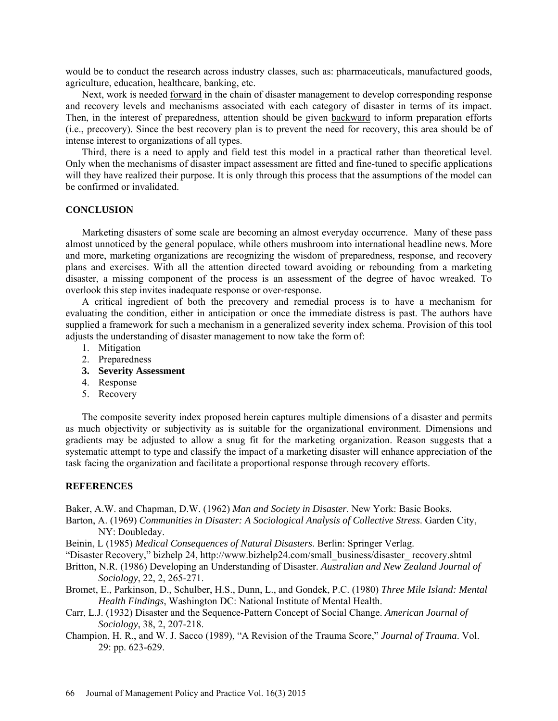would be to conduct the research across industry classes, such as: pharmaceuticals, manufactured goods, agriculture, education, healthcare, banking, etc.

Next, work is needed forward in the chain of disaster management to develop corresponding response and recovery levels and mechanisms associated with each category of disaster in terms of its impact. Then, in the interest of preparedness, attention should be given backward to inform preparation efforts (i.e., precovery). Since the best recovery plan is to prevent the need for recovery, this area should be of intense interest to organizations of all types.

Third, there is a need to apply and field test this model in a practical rather than theoretical level. Only when the mechanisms of disaster impact assessment are fitted and fine-tuned to specific applications will they have realized their purpose. It is only through this process that the assumptions of the model can be confirmed or invalidated.

# **CONCLUSION**

Marketing disasters of some scale are becoming an almost everyday occurrence. Many of these pass almost unnoticed by the general populace, while others mushroom into international headline news. More and more, marketing organizations are recognizing the wisdom of preparedness, response, and recovery plans and exercises. With all the attention directed toward avoiding or rebounding from a marketing disaster, a missing component of the process is an assessment of the degree of havoc wreaked. To overlook this step invites inadequate response or over-response.

A critical ingredient of both the precovery and remedial process is to have a mechanism for evaluating the condition, either in anticipation or once the immediate distress is past. The authors have supplied a framework for such a mechanism in a generalized severity index schema. Provision of this tool adjusts the understanding of disaster management to now take the form of:

- 1. Mitigation
- 2. Preparedness
- **3. Severity Assessment**
- 4. Response
- 5. Recovery

The composite severity index proposed herein captures multiple dimensions of a disaster and permits as much objectivity or subjectivity as is suitable for the organizational environment. Dimensions and gradients may be adjusted to allow a snug fit for the marketing organization. Reason suggests that a systematic attempt to type and classify the impact of a marketing disaster will enhance appreciation of the task facing the organization and facilitate a proportional response through recovery efforts.

## **REFERENCES**

Baker, A.W. and Chapman, D.W. (1962) *Man and Society in Disaster*. New York: Basic Books.

- Barton, A. (1969) *Communities in Disaster: A Sociological Analysis of Collective Stress*. Garden City, NY: Doubleday.
- Beinin, L (1985) *Medical Consequences of Natural Disasters*. Berlin: Springer Verlag.
- "Disaster Recovery," bizhelp 24, http://www.bizhelp24.com/small\_business/disaster\_ recovery.shtml

Britton, N.R. (1986) Developing an Understanding of Disaster. *Australian and New Zealand Journal of Sociology*, 22, 2, 265-271.

Bromet, E., Parkinson, D., Schulber, H.S., Dunn, L., and Gondek, P.C. (1980) *Three Mile Island: Mental Health Findings*, Washington DC: National Institute of Mental Health.

- Carr, L.J. (1932) Disaster and the Sequence-Pattern Concept of Social Change. *American Journal of Sociology*, 38, 2, 207-218.
- Champion, H. R., and W. J. Sacco (1989), "A Revision of the Trauma Score," *Journal of Trauma*. Vol. 29: pp. 623-629.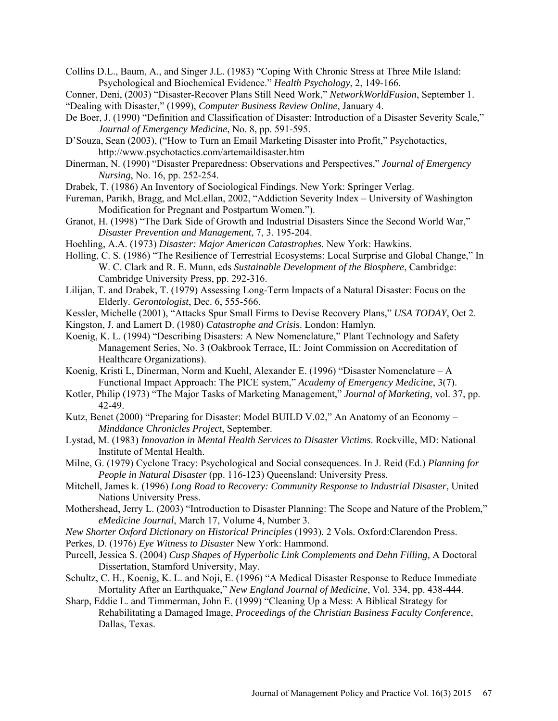Collins D.L., Baum, A., and Singer J.L. (1983) "Coping With Chronic Stress at Three Mile Island: Psychological and Biochemical Evidence." *Health Psychology*, 2, 149-166.

Conner, Deni, (2003) "Disaster-Recover Plans Still Need Work," *NetworkWorldFusion*, September 1. "Dealing with Disaster," (1999), *Computer Business Review Online*, January 4.

- De Boer, J. (1990) "Definition and Classification of Disaster: Introduction of a Disaster Severity Scale," *Journal of Emergency Medicine*, No. 8, pp. 591-595.
- D'Souza, Sean (2003), ("How to Turn an Email Marketing Disaster into Profit," Psychotactics, http://www.psychotactics.com/artemaildisaster.htm
- Dinerman, N. (1990) "Disaster Preparedness: Observations and Perspectives," *Journal of Emergency Nursing*, No. 16, pp. 252-254.
- Drabek, T. (1986) An Inventory of Sociological Findings. New York: Springer Verlag.
- Fureman, Parikh, Bragg, and McLellan, 2002, "Addiction Severity Index University of Washington Modification for Pregnant and Postpartum Women.").
- Granot, H. (1998) "The Dark Side of Growth and Industrial Disasters Since the Second World War," *Disaster Prevention and Management*, 7, 3. 195-204.
- Hoehling, A.A. (1973) *Disaster: Major American Catastrophes*. New York: Hawkins.
- Holling, C. S. (1986) "The Resilience of Terrestrial Ecosystems: Local Surprise and Global Change," In W. C. Clark and R. E. Munn, eds *Sustainable Development of the Biosphere*, Cambridge: Cambridge University Press, pp. 292-316.
- Lilijan, T. and Drabek, T. (1979) Assessing Long-Term Impacts of a Natural Disaster: Focus on the Elderly. *Gerontologist*, Dec. 6, 555-566.
- Kessler, Michelle (2001), "Attacks Spur Small Firms to Devise Recovery Plans," *USA TODAY*, Oct 2.

Kingston, J. and Lamert D. (1980) *Catastrophe and Crisis*. London: Hamlyn.

- Koenig, K. L. (1994) "Describing Disasters: A New Nomenclature," Plant Technology and Safety Management Series, No. 3 (Oakbrook Terrace, IL: Joint Commission on Accreditation of Healthcare Organizations).
- Koenig, Kristi L, Dinerman, Norm and Kuehl, Alexander E. (1996) "Disaster Nomenclature A Functional Impact Approach: The PICE system," *Academy of Emergency Medicine*, 3(7).
- Kotler, Philip (1973) "The Major Tasks of Marketing Management," *Journal of Marketing*, vol. 37, pp. 42-49.
- Kutz, Benet (2000) "Preparing for Disaster: Model BUILD V.02," An Anatomy of an Economy *Minddance Chronicles Project*, September.
- Lystad, M. (1983) *Innovation in Mental Health Services to Disaster Victims*. Rockville, MD: National Institute of Mental Health.
- Milne, G. (1979) Cyclone Tracy: Psychological and Social consequences. In J. Reid (Ed.) *Planning for People in Natural Disaster* (pp. 116-123) Queensland: University Press.
- Mitchell, James k. (1996) *Long Road to Recovery: Community Response to Industrial Disaster*, United Nations University Press.
- Mothershead, Jerry L. (2003) "Introduction to Disaster Planning: The Scope and Nature of the Problem," *eMedicine Journal*, March 17, Volume 4, Number 3.
- *New Shorter Oxford Dictionary on Historical Principles* (1993). 2 Vols. Oxford:Clarendon Press.
- Perkes, D. (1976) *Eye Witness to Disaster* New York: Hammond.
- Purcell, Jessica S. (2004) *Cusp Shapes of Hyperbolic Link Complements and Dehn Filling,* A Doctoral Dissertation, Stamford University, May.
- Schultz, C. H., Koenig, K. L. and Noji, E. (1996) "A Medical Disaster Response to Reduce Immediate Mortality After an Earthquake," *New England Journal of Medicine*, Vol. 334, pp. 438-444.
- Sharp, Eddie L. and Timmerman, John E. (1999) "Cleaning Up a Mess: A Biblical Strategy for Rehabilitating a Damaged Image, *Proceedings of the Christian Business Faculty Conference*, Dallas, Texas.